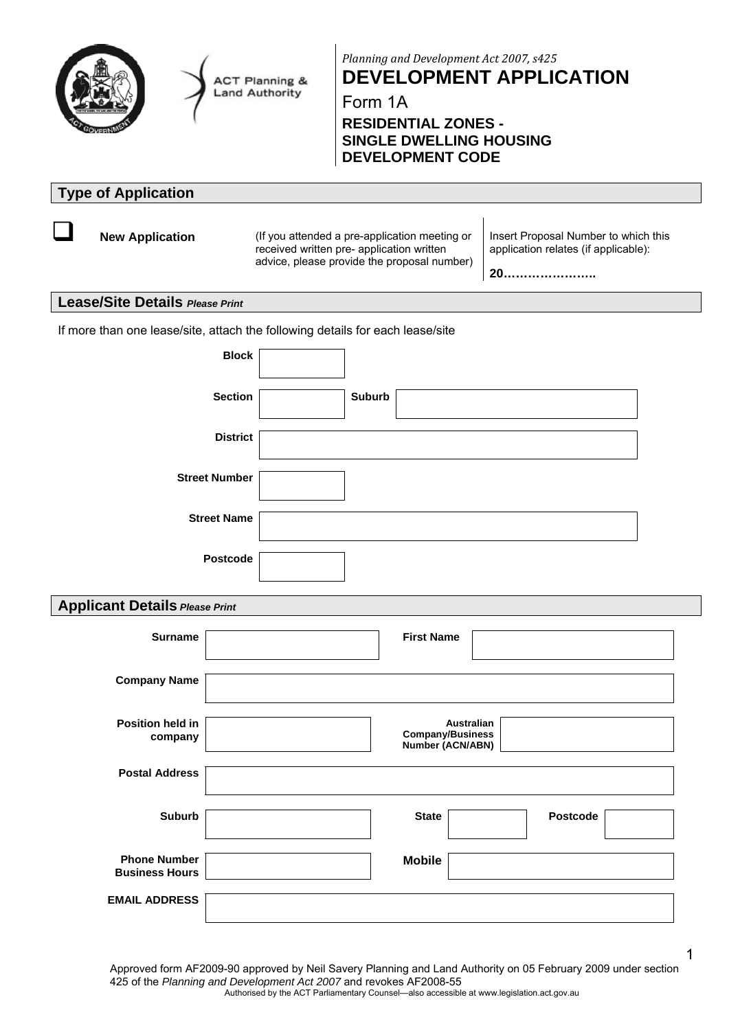

**ACT Planning & Land Authority** 

*Planning and Development Act 2007, s425* **DEVELOPMENT APPLICATION**

Form 1A

## **RESIDENTIAL ZONES - SINGLE DWELLING HOUSING DEVELOPMENT CODE**

# **Type of Application**

**New Application** (If you attended a pre-application meeting or received written pre- application written advice, please provide the proposal number) Insert Proposal Number to which this application relates (if applicable):

**20…………………..**

## **Lease/Site Details** *Please Print*

If more than one lease/site, attach the following details for each lease/site

| <b>Block</b>         |               |
|----------------------|---------------|
| <b>Section</b>       | <b>Suburb</b> |
| <b>District</b>      |               |
| <b>Street Number</b> |               |
| <b>Street Name</b>   |               |
| Postcode             |               |

## **Applicant Details** *Please Print*

| <b>Surname</b>                               | <b>First Name</b>                                                |
|----------------------------------------------|------------------------------------------------------------------|
| <b>Company Name</b>                          |                                                                  |
| <b>Position held in</b><br>company           | <b>Australian</b><br><b>Company/Business</b><br>Number (ACN/ABN) |
| <b>Postal Address</b>                        |                                                                  |
| <b>Suburb</b>                                | <b>State</b><br><b>Postcode</b>                                  |
| <b>Phone Number</b><br><b>Business Hours</b> | <b>Mobile</b>                                                    |
| <b>EMAIL ADDRESS</b>                         |                                                                  |

Approved form AF2009-90 approved by Neil Savery Planning and Land Authority on 05 February 2009 under section 425 of the *Planning and Development Act 2007* and revokes AF2008-55 Authorised by the ACT Parliamentary Counsel—also accessible at www.legislation.act.gov.au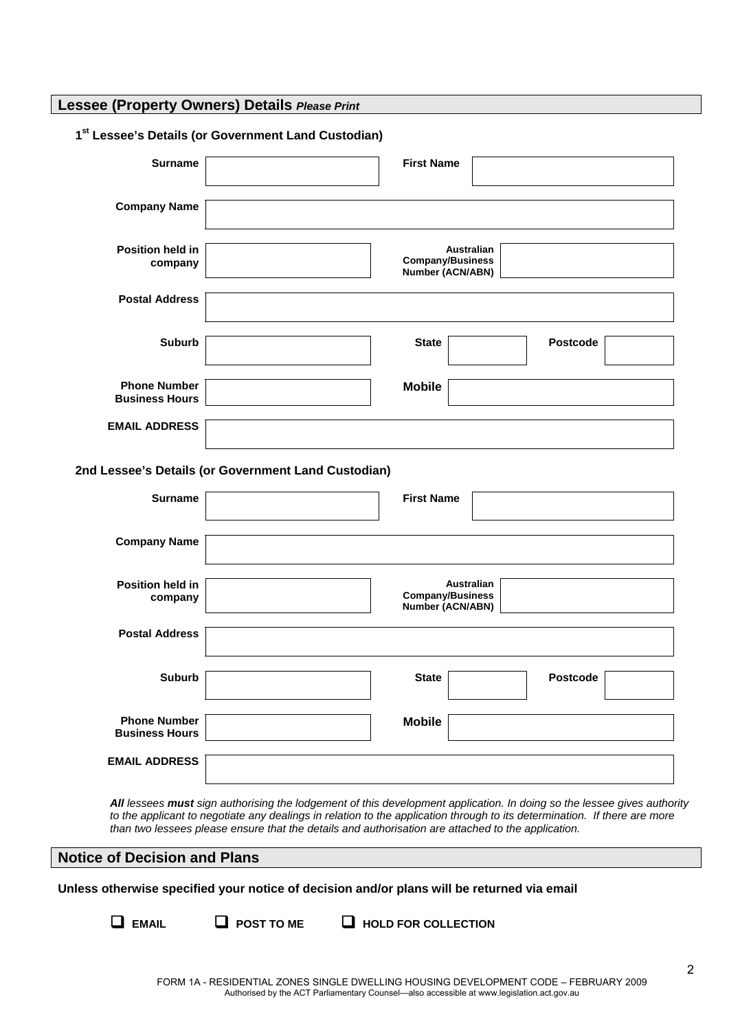**Lessee (Property Owners) Details** *Please Print*

#### **1st Lessee's Details (or Government Land Custodian)**

| <b>Surname</b>                                                                                      | <b>First Name</b>                                                |
|-----------------------------------------------------------------------------------------------------|------------------------------------------------------------------|
| <b>Company Name</b>                                                                                 |                                                                  |
| Position held in<br>company                                                                         | Australian<br><b>Company/Business</b><br>Number (ACN/ABN)        |
| <b>Postal Address</b>                                                                               |                                                                  |
| <b>Suburb</b>                                                                                       | <b>Postcode</b><br><b>State</b>                                  |
| <b>Phone Number</b><br><b>Business Hours</b>                                                        | <b>Mobile</b>                                                    |
|                                                                                                     |                                                                  |
| <b>EMAIL ADDRESS</b>                                                                                |                                                                  |
|                                                                                                     |                                                                  |
| <b>Surname</b>                                                                                      | <b>First Name</b>                                                |
| <b>Company Name</b>                                                                                 |                                                                  |
| Position held in<br>company                                                                         | <b>Australian</b><br><b>Company/Business</b><br>Number (ACN/ABN) |
| <b>Postal Address</b>                                                                               |                                                                  |
| <b>Suburb</b>                                                                                       | <b>Postcode</b><br><b>State</b>                                  |
| 2nd Lessee's Details (or Government Land Custodian)<br><b>Phone Number</b><br><b>Business Hours</b> | <b>Mobile</b>                                                    |

*All lessees must sign authorising the lodgement of this development application. In doing so the lessee gives authority to the applicant to negotiate any dealings in relation to the application through to its determination. If there are more than two lessees please ensure that the details and authorisation are attached to the application.* 

## **Notice of Decision and Plans**

**Unless otherwise specified your notice of decision and/or plans will be returned via email** 

- 
- **EMAIL POST TO ME HOLD FOR COLLECTION**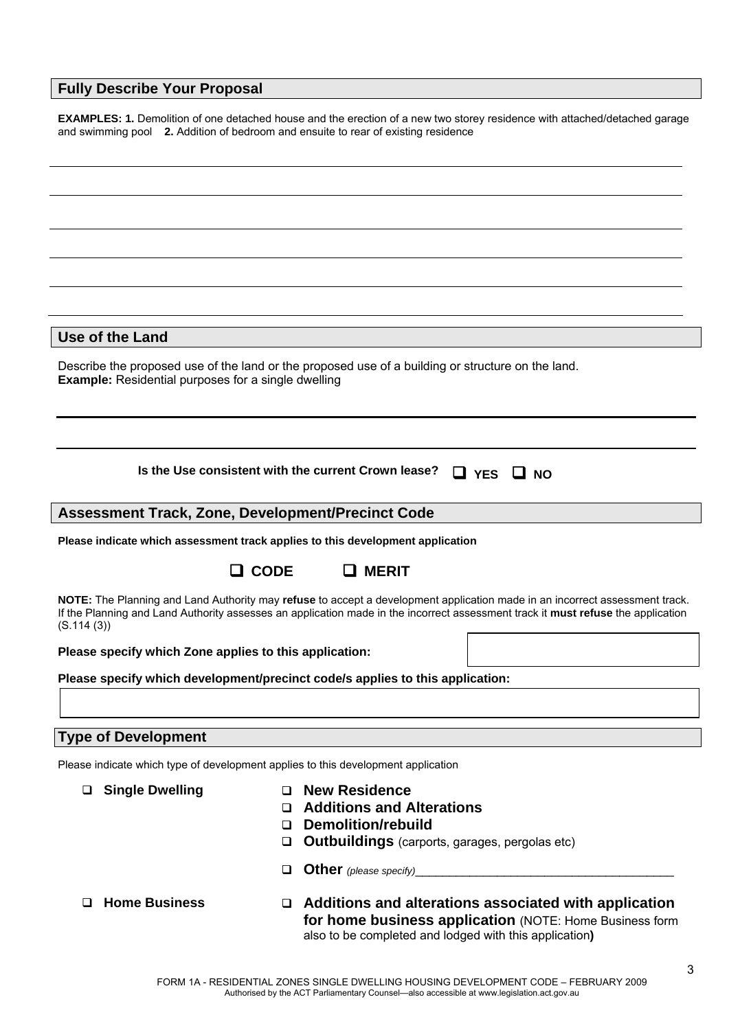## **Fully Describe Your Proposal**

**EXAMPLES: 1.** Demolition of one detached house and the erection of a new two storey residence with attached/detached garage and swimming pool **2.** Addition of bedroom and ensuite to rear of existing residence

**Use of the Land** 

Describe the proposed use of the land or the proposed use of a building or structure on the land. **Example:** Residential purposes for a single dwelling

**Is the Use consistent with the current Crown lease?**  $\Box$  **YES**  $\Box$  **NO** 

## **Assessment Track, Zone, Development/Precinct Code**

**Please indicate which assessment track applies to this development application** 

## **CODE MERIT**

**NOTE:** The Planning and Land Authority may **refuse** to accept a development application made in an incorrect assessment track. If the Planning and Land Authority assesses an application made in the incorrect assessment track it **must refuse** the application (S.114 (3))

**Please specify which Zone applies to this application:** 

**Please specify which development/precinct code/s applies to this application:** 

## **Type of Development**

Please indicate which type of development applies to this development application

- 
- **Single Dwelling New Residence** 
	- **Additions and Alterations**
	- **Demolition/rebuild**
	- **Outbuildings** (carports, garages, pergolas etc)
	- **Other** *(please specify)*\_\_\_\_\_\_\_\_\_\_\_\_\_\_\_\_\_\_\_\_\_\_\_\_\_\_\_\_\_\_\_\_\_\_\_\_\_\_
- **Home Business Additions and alterations associated with application for home business application** (NOTE: Home Business form also to be completed and lodged with this application**)**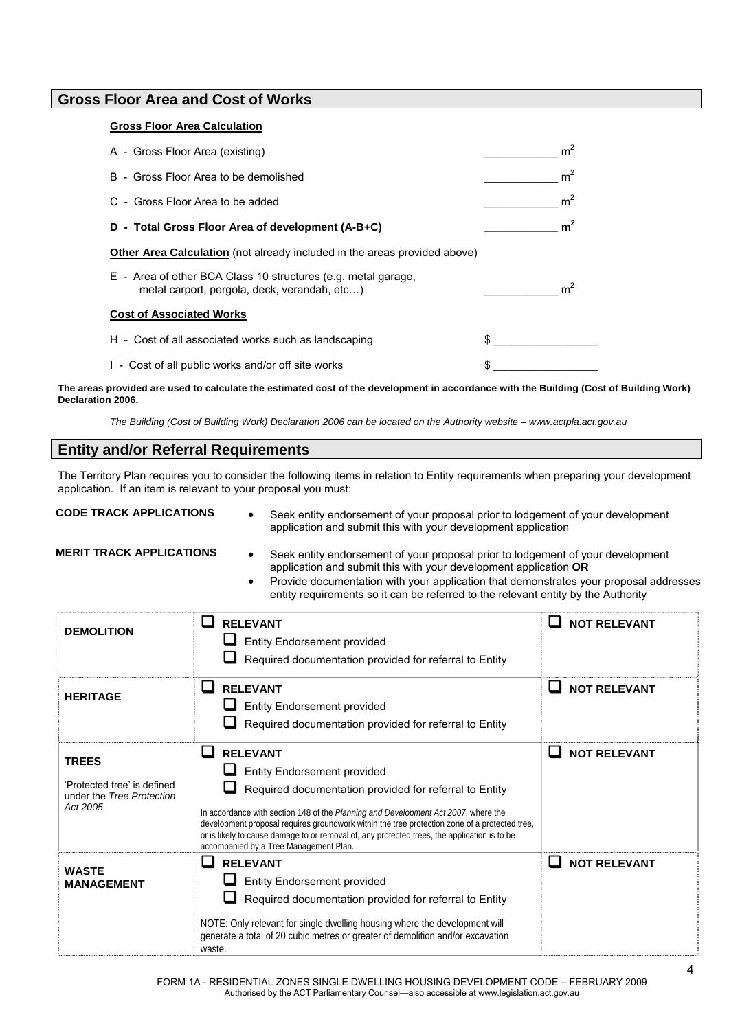## **Gross Floor Area and Cost of Works**

#### **Gross Floor Area Calculation**

| A - Gross Floor Area (existing)                                                                               |    | m <sup>2</sup> |
|---------------------------------------------------------------------------------------------------------------|----|----------------|
| B - Gross Floor Area to be demolished                                                                         |    | m <sup>2</sup> |
| C - Gross Floor Area to be added                                                                              |    | m <sup>2</sup> |
| D - Total Gross Floor Area of development (A-B+C)                                                             |    | m <sup>2</sup> |
| <b>Other Area Calculation</b> (not already included in the areas provided above)                              |    |                |
| E - Area of other BCA Class 10 structures (e.g. metal garage,<br>metal carport, pergola, deck, verandah, etc) |    | m <sup>2</sup> |
| <b>Cost of Associated Works</b>                                                                               |    |                |
| H - Cost of all associated works such as landscaping                                                          | S. |                |
| 1 - Cost of all public works and/or off site works                                                            |    |                |

**The areas provided are used to calculate the estimated cost of the development in accordance with the Building (Cost of Building Work) Declaration 2006.** 

*The Building (Cost of Building Work) Declaration 2006 can be located on the Authority website – www.actpla.act.gov.au*

## **Entity and/or Referral Requirements**

The Territory Plan requires you to consider the following items in relation to Entity requirements when preparing your development application. If an item is relevant to your proposal you must:

**CODE TRACK APPLICATIONS** • Seek entity endorsement of your proposal prior to lodgement of your development application and submit this with your development application

- **MERIT TRACK APPLICATIONS**  Seek entity endorsement of your proposal prior to lodgement of your development application and submit this with your development application **OR**
	- Provide documentation with your application that demonstrates your proposal addresses entity requirements so it can be referred to the relevant entity by the Authority

| <b>DEMOLITION</b>                                                                     | <b>RELEVANT</b><br><b>Entity Endorsement provided</b><br>Required documentation provided for referral to Entity                                                                                                                                                                                                                                                                                                                                                  | <b>NOT RELEVANT</b> |
|---------------------------------------------------------------------------------------|------------------------------------------------------------------------------------------------------------------------------------------------------------------------------------------------------------------------------------------------------------------------------------------------------------------------------------------------------------------------------------------------------------------------------------------------------------------|---------------------|
| <b>HERITAGE</b>                                                                       | $\mathbf{L}$<br><b>RELEVANT</b><br><b>Entity Endorsement provided</b><br>Required documentation provided for referral to Entity                                                                                                                                                                                                                                                                                                                                  | <b>NOT RELEVANT</b> |
| <b>TREES</b><br>'Protected tree' is defined<br>under the Tree Protection<br>Act 2005. | $\mathbf{L}$<br><b>RELEVANT</b><br><b>Entity Endorsement provided</b><br>Required documentation provided for referral to Entity<br>In accordance with section 148 of the Planning and Development Act 2007, where the<br>development proposal requires groundwork within the tree protection zone of a protected tree,<br>or is likely to cause damage to or removal of, any protected trees, the application is to be<br>accompanied by a Tree Management Plan. | <b>NOT RELEVANT</b> |
| <b>WASTE</b><br><b>MANAGEMENT</b>                                                     | <b>RELEVANT</b><br><b>Entity Endorsement provided</b><br>Required documentation provided for referral to Entity<br>NOTE: Only relevant for single dwelling housing where the development will<br>generate a total of 20 cubic metres or greater of demolition and/or excavation<br>waste.                                                                                                                                                                        | <b>NOT RELEVANT</b> |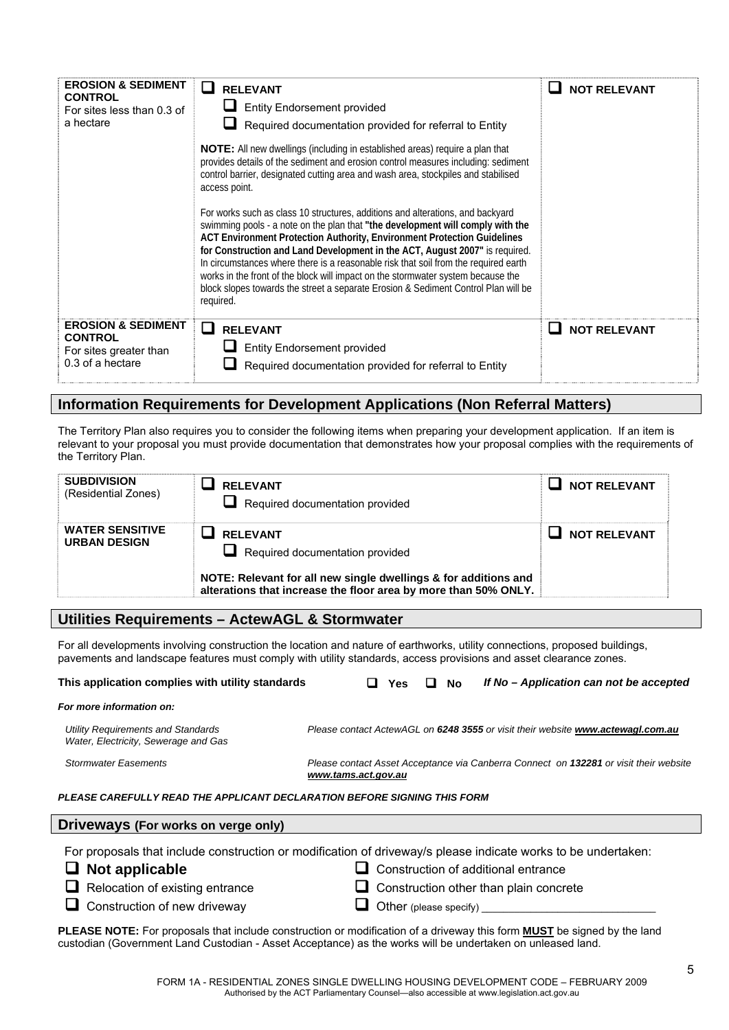| <b>EROSION &amp; SEDIMENT</b><br><b>CONTROL</b><br>For sites less than 0.3 of<br>a hectare    | <b>RELEVANT</b><br><b>Entity Endorsement provided</b><br>Required documentation provided for referral to Entity<br>NOTE: All new dwellings (including in established areas) require a plan that<br>provides details of the sediment and erosion control measures including: sediment<br>control barrier, designated cutting area and wash area, stockpiles and stabilised<br>access point.<br>For works such as class 10 structures, additions and alterations, and backyard<br>swimming pools - a note on the plan that "the development will comply with the<br>ACT Environment Protection Authority, Environment Protection Guidelines<br>for Construction and Land Development in the ACT, August 2007" is required.<br>In circumstances where there is a reasonable risk that soil from the required earth<br>works in the front of the block will impact on the stormwater system because the<br>block slopes towards the street a separate Erosion & Sediment Control Plan will be<br>required. | <b>NOT RELEVANT</b> |
|-----------------------------------------------------------------------------------------------|--------------------------------------------------------------------------------------------------------------------------------------------------------------------------------------------------------------------------------------------------------------------------------------------------------------------------------------------------------------------------------------------------------------------------------------------------------------------------------------------------------------------------------------------------------------------------------------------------------------------------------------------------------------------------------------------------------------------------------------------------------------------------------------------------------------------------------------------------------------------------------------------------------------------------------------------------------------------------------------------------------|---------------------|
| <b>EROSION &amp; SEDIMENT</b><br><b>CONTROL</b><br>For sites greater than<br>0.3 of a hectare | $\mathbf{L}$<br><b>RELEVANT</b><br><b>Entity Endorsement provided</b><br>Required documentation provided for referral to Entity                                                                                                                                                                                                                                                                                                                                                                                                                                                                                                                                                                                                                                                                                                                                                                                                                                                                        | <b>NOT RELEVANT</b> |

## **Information Requirements for Development Applications (Non Referral Matters)**

The Territory Plan also requires you to consider the following items when preparing your development application. If an item is relevant to your proposal you must provide documentation that demonstrates how your proposal complies with the requirements of the Territory Plan.

| <b>SUBDIVISION</b><br>(Residential Zones)     | <b>RELEVANT</b><br>Required documentation provided                                                                                 | <b>NOT RELEVANT</b> |
|-----------------------------------------------|------------------------------------------------------------------------------------------------------------------------------------|---------------------|
| <b>WATER SENSITIVE</b><br><b>URBAN DESIGN</b> | <b>RFI FVANT</b><br>$\Box$ Required documentation provided                                                                         | <b>NOT RELEVANT</b> |
|                                               | NOTE: Relevant for all new single dwellings & for additions and<br>alterations that increase the floor area by more than 50% ONLY. |                     |

## **Utilities Requirements – ActewAGL & Stormwater**

For all developments involving construction the location and nature of earthworks, utility connections, proposed buildings, pavements and landscape features must comply with utility standards, access provisions and asset clearance zones.

| This application complies with utility standards                           |                     | <b>Yes</b> | No | If No – Application can not be accepted                                               |
|----------------------------------------------------------------------------|---------------------|------------|----|---------------------------------------------------------------------------------------|
| For more information on:                                                   |                     |            |    |                                                                                       |
| Utility Requirements and Standards<br>Water, Electricity, Sewerage and Gas |                     |            |    | Please contact ActewAGL on 6248 3555 or visit their website www.actewagl.com.au       |
| <b>Stormwater Easements</b>                                                | www.tams.act.gov.au |            |    | Please contact Asset Acceptance via Canberra Connect on 132281 or visit their website |
| PLEASE CAREFULLY READ THE APPLICANT DECLARATION BEFORE SIGNING THIS FORM   |                     |            |    |                                                                                       |
| Driveways (For works on verge only)                                        |                     |            |    |                                                                                       |
|                                                                            |                     |            |    |                                                                                       |

For proposals that include construction or modification of driveway/s please indicate works to be undertaken:

- 
- **Not applicable**  Construction of additional entrance
- □ Relocation of existing entrance <br>□ Construction other than plain concrete
- **Our Construction of new driveway**   $\Box$  Other (please specify)
- 

**PLEASE NOTE:** For proposals that include construction or modification of a driveway this form **MUST** be signed by the land custodian (Government Land Custodian - Asset Acceptance) as the works will be undertaken on unleased land.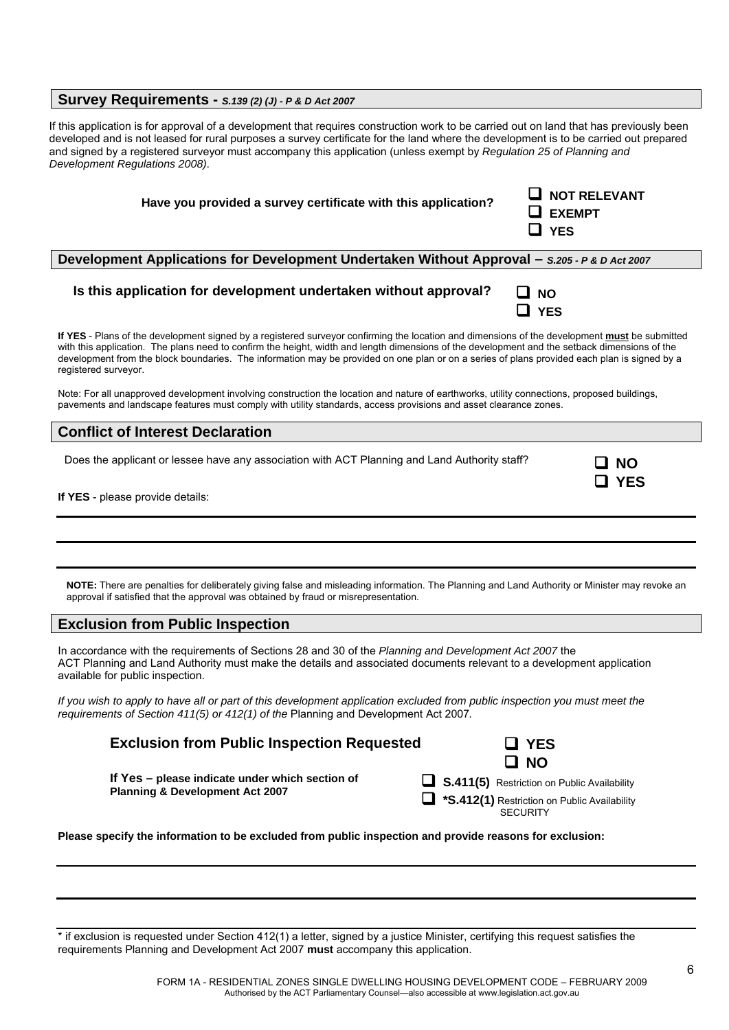## **Survey Requirements -** *S.139 (2) (J) - P & D Act 2007*

If this application is for approval of a development that requires construction work to be carried out on land that has previously been developed and is not leased for rural purposes a survey certificate for the land where the development is to be carried out prepared and signed by a registered surveyor must accompany this application (unless exempt by *Regulation 25 of Planning and Development Regulations 2008)*.

| Have you provided a survey certificate with this application?                                                                                                                                                                                                                                  | $\Box$ NOT RELEVANT<br><b>EXEMPT</b><br><b>YES</b> |
|------------------------------------------------------------------------------------------------------------------------------------------------------------------------------------------------------------------------------------------------------------------------------------------------|----------------------------------------------------|
| Development Applications for Development Undertaken Without Approval - S.205 - P & D Act 2007                                                                                                                                                                                                  |                                                    |
| Is this application for development undertaken without approval?                                                                                                                                                                                                                               | ⊔ NO<br>$\Box$ YES                                 |
| If YES - Plans of the development signed by a registered surveyor confirming the location and dimensions of the development must be submitted<br>with this application. The plans need to confirm the height, width and length dimensions of the development and the setback dimensions of the |                                                    |

development from the block boundaries. The information may be provided on one plan or on a series of plans provided each plan is signed by a registered surveyor.

Note: For all unapproved development involving construction the location and nature of earthworks, utility connections, proposed buildings, pavements and landscape features must comply with utility standards, access provisions and asset clearance zones.

## **Conflict of Interest Declaration**

Does the applicant or lessee have any association with ACT Planning and Land Authority staff?

| N<br>K<br>L |
|-------------|
| c<br>- -    |

**If YES** - please provide details:

**NOTE:** There are penalties for deliberately giving false and misleading information. The Planning and Land Authority or Minister may revoke an approval if satisfied that the approval was obtained by fraud or misrepresentation.

## **Exclusion from Public Inspection**

In accordance with the requirements of Sections 28 and 30 of the *Planning and Development Act 2007* the ACT Planning and Land Authority must make the details and associated documents relevant to a development application available for public inspection.

*If you wish to apply to have all or part of this development application excluded from public inspection you must meet the requirements of Section 411(5) or 412(1) of the* Planning and Development Act 2007*.* 

**Exclusion from Public Inspection Requested**  $\Box$  **YES** 



**If Yes – please indicate under which section of Planning & Development Act 2007**

| <b>S.411(5)</b> Restriction on Public Availability |
|----------------------------------------------------|
| *S.412(1) Restriction on Public Availability       |
| <b>SECURITY</b>                                    |

**Please specify the information to be excluded from public inspection and provide reasons for exclusion:** 

\* if exclusion is requested under Section 412(1) a letter, signed by a justice Minister, certifying this request satisfies the requirements Planning and Development Act 2007 **must** accompany this application.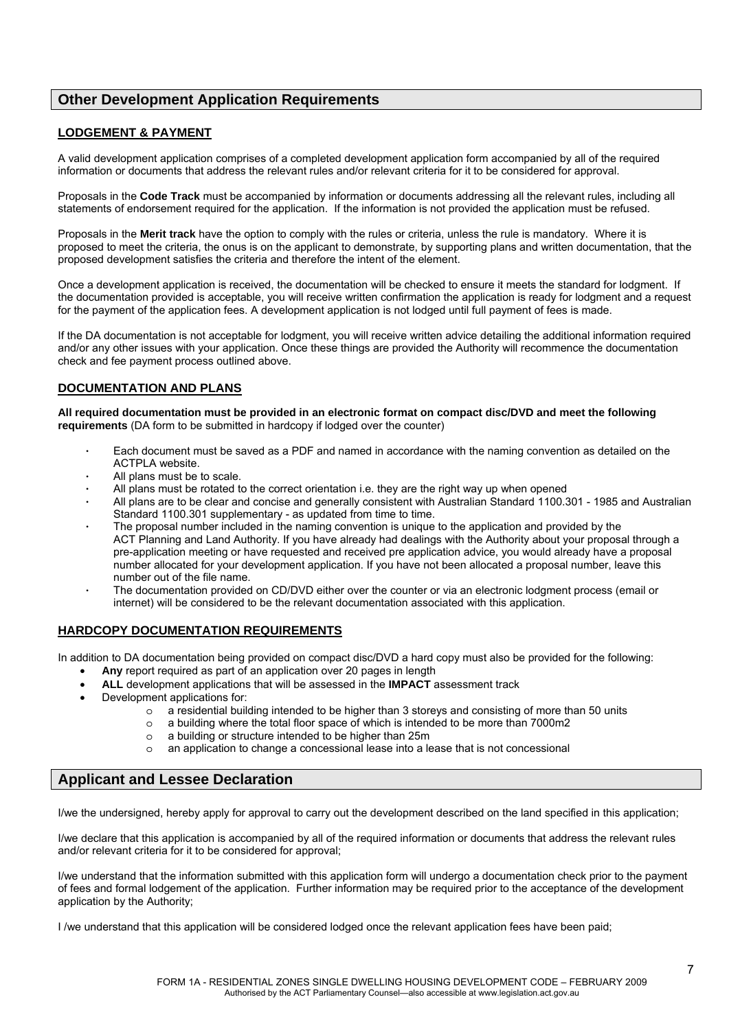## **Other Development Application Requirements**

## **LODGEMENT & PAYMENT**

A valid development application comprises of a completed development application form accompanied by all of the required information or documents that address the relevant rules and/or relevant criteria for it to be considered for approval.

Proposals in the **Code Track** must be accompanied by information or documents addressing all the relevant rules, including all statements of endorsement required for the application. If the information is not provided the application must be refused.

Proposals in the **Merit track** have the option to comply with the rules or criteria, unless the rule is mandatory. Where it is proposed to meet the criteria, the onus is on the applicant to demonstrate, by supporting plans and written documentation, that the proposed development satisfies the criteria and therefore the intent of the element.

Once a development application is received, the documentation will be checked to ensure it meets the standard for lodgment. If the documentation provided is acceptable, you will receive written confirmation the application is ready for lodgment and a request for the payment of the application fees. A development application is not lodged until full payment of fees is made.

If the DA documentation is not acceptable for lodgment, you will receive written advice detailing the additional information required and/or any other issues with your application. Once these things are provided the Authority will recommence the documentation check and fee payment process outlined above.

#### **DOCUMENTATION AND PLANS**

**All required documentation must be provided in an electronic format on compact disc/DVD and meet the following requirements** (DA form to be submitted in hardcopy if lodged over the counter)

- Each document must be saved as a PDF and named in accordance with the naming convention as detailed on the ACTPLA website.
- All plans must be to scale.
- All plans must be rotated to the correct orientation i.e. they are the right way up when opened
- All plans are to be clear and concise and generally consistent with Australian Standard 1100.301 1985 and Australian Standard 1100.301 supplementary - as updated from time to time.
- The proposal number included in the naming convention is unique to the application and provided by the ACT Planning and Land Authority. If you have already had dealings with the Authority about your proposal through a pre-application meeting or have requested and received pre application advice, you would already have a proposal number allocated for your development application. If you have not been allocated a proposal number, leave this number out of the file name.
- The documentation provided on CD/DVD either over the counter or via an electronic lodgment process (email or internet) will be considered to be the relevant documentation associated with this application.

#### **HARDCOPY DOCUMENTATION REQUIREMENTS**

In addition to DA documentation being provided on compact disc/DVD a hard copy must also be provided for the following:

- **Any** report required as part of an application over 20 pages in length
	- **ALL** development applications that will be assessed in the **IMPACT** assessment track
- Development applications for:
	- o a residential building intended to be higher than 3 storeys and consisting of more than 50 units
	- $\circ$  a building where the total floor space of which is intended to be more than 7000m2
	- o a building or structure intended to be higher than 25m
	- o an application to change a concessional lease into a lease that is not concessional

## **Applicant and Lessee Declaration**

I/we the undersigned, hereby apply for approval to carry out the development described on the land specified in this application;

I/we declare that this application is accompanied by all of the required information or documents that address the relevant rules and/or relevant criteria for it to be considered for approval;

I/we understand that the information submitted with this application form will undergo a documentation check prior to the payment of fees and formal lodgement of the application. Further information may be required prior to the acceptance of the development application by the Authority;

I /we understand that this application will be considered lodged once the relevant application fees have been paid;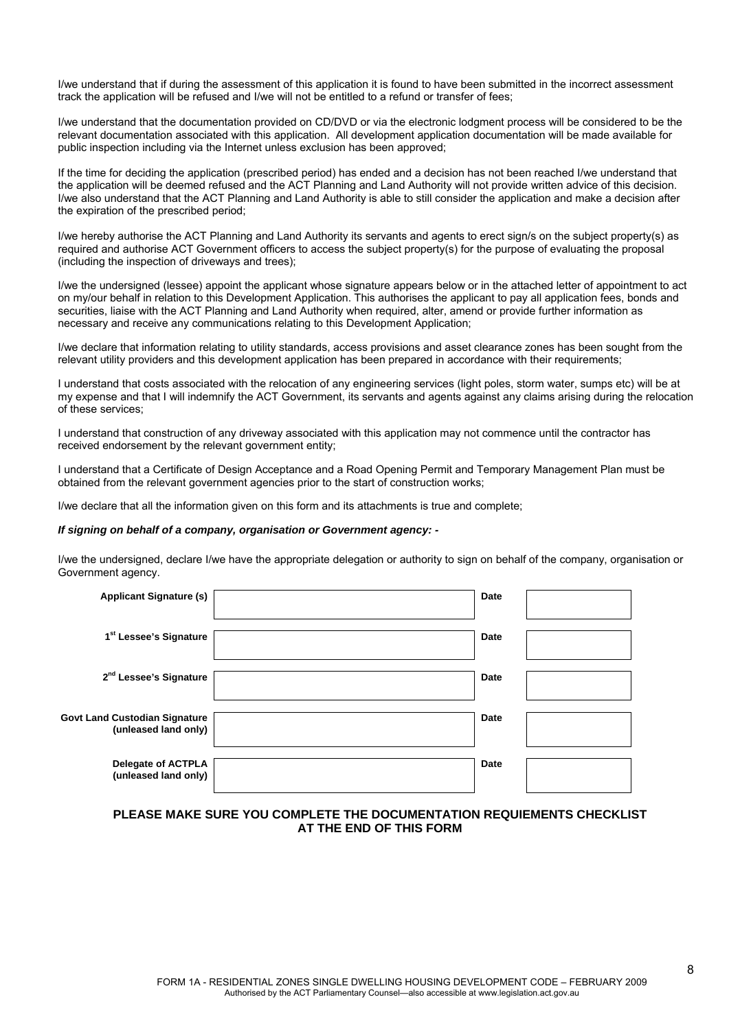I/we understand that if during the assessment of this application it is found to have been submitted in the incorrect assessment track the application will be refused and I/we will not be entitled to a refund or transfer of fees;

I/we understand that the documentation provided on CD/DVD or via the electronic lodgment process will be considered to be the relevant documentation associated with this application. All development application documentation will be made available for public inspection including via the Internet unless exclusion has been approved;

If the time for deciding the application (prescribed period) has ended and a decision has not been reached I/we understand that the application will be deemed refused and the ACT Planning and Land Authority will not provide written advice of this decision. I/we also understand that the ACT Planning and Land Authority is able to still consider the application and make a decision after the expiration of the prescribed period;

I/we hereby authorise the ACT Planning and Land Authority its servants and agents to erect sign/s on the subject property(s) as required and authorise ACT Government officers to access the subject property(s) for the purpose of evaluating the proposal (including the inspection of driveways and trees);

I/we the undersigned (lessee) appoint the applicant whose signature appears below or in the attached letter of appointment to act on my/our behalf in relation to this Development Application. This authorises the applicant to pay all application fees, bonds and securities, liaise with the ACT Planning and Land Authority when required, alter, amend or provide further information as necessary and receive any communications relating to this Development Application;

I/we declare that information relating to utility standards, access provisions and asset clearance zones has been sought from the relevant utility providers and this development application has been prepared in accordance with their requirements;

I understand that costs associated with the relocation of any engineering services (light poles, storm water, sumps etc) will be at my expense and that I will indemnify the ACT Government, its servants and agents against any claims arising during the relocation of these services;

I understand that construction of any driveway associated with this application may not commence until the contractor has received endorsement by the relevant government entity:

I understand that a Certificate of Design Acceptance and a Road Opening Permit and Temporary Management Plan must be obtained from the relevant government agencies prior to the start of construction works;

I/we declare that all the information given on this form and its attachments is true and complete;

#### *If signing on behalf of a company, organisation or Government agency: -*

**Govt** 

I/we the undersigned, declare I/we have the appropriate delegation or authority to sign on behalf of the company, organisation or Government agency.

| <b>Applicant Signature (s)</b>                    | Date        |  |
|---------------------------------------------------|-------------|--|
| 1 <sup>st</sup> Lessee's Signature                | <b>Date</b> |  |
| 2 <sup>nd</sup> Lessee's Signature                | <b>Date</b> |  |
| Land Custodian Signature<br>(unleased land only)  | Date        |  |
| <b>Delegate of ACTPLA</b><br>(unleased land only) | <b>Date</b> |  |

#### **PLEASE MAKE SURE YOU COMPLETE THE DOCUMENTATION REQUIEMENTS CHECKLIST AT THE END OF THIS FORM**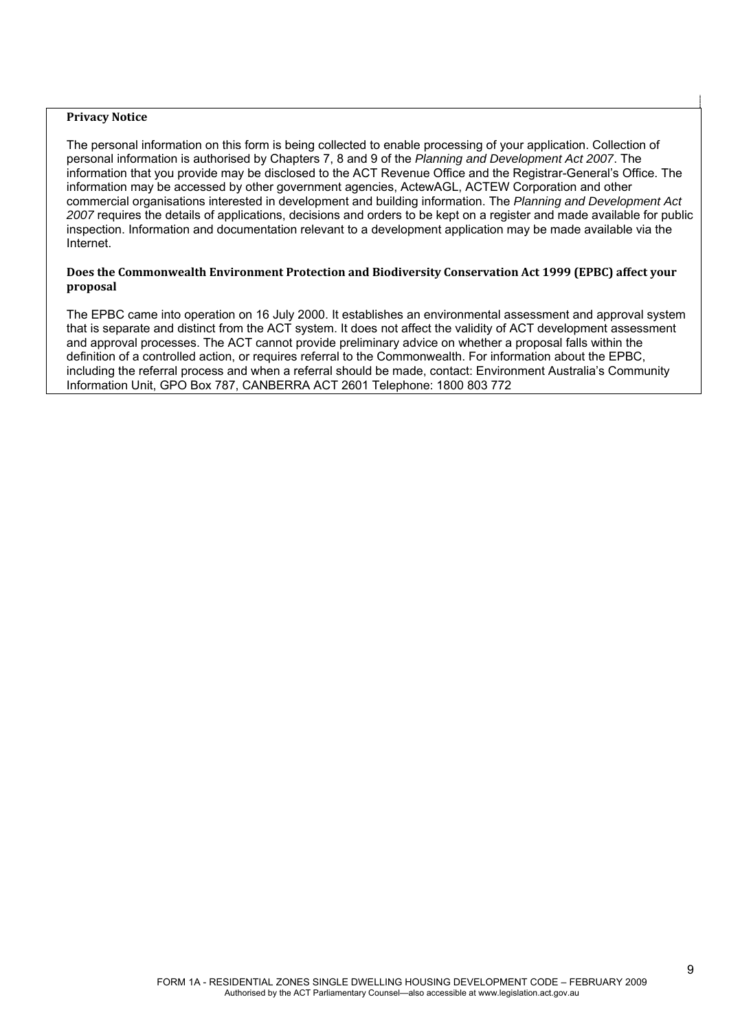#### **Privacy Notice**

The personal information on this form is being collected to enable processing of your application. Collection of personal information is authorised by Chapters 7, 8 and 9 of the *Planning and Development Act 2007*. The information that you provide may be disclosed to the ACT Revenue Office and the Registrar-General's Office. The information may be accessed by other government agencies, ActewAGL, ACTEW Corporation and other commercial organisations interested in development and building information. The *Planning and Development Act 2007* requires the details of applications, decisions and orders to be kept on a register and made available for public inspection. Information and documentation relevant to a development application may be made available via the Internet.

#### **Does the Commonwealth Environment Protection and Biodiversity Conservation Act 1999 (EPBC) affect your proposal**

The EPBC came into operation on 16 July 2000. It establishes an environmental assessment and approval system that is separate and distinct from the ACT system. It does not affect the validity of ACT development assessment and approval processes. The ACT cannot provide preliminary advice on whether a proposal falls within the definition of a controlled action, or requires referral to the Commonwealth. For information about the EPBC, including the referral process and when a referral should be made, contact: Environment Australia's Community Information Unit, GPO Box 787, CANBERRA ACT 2601 Telephone: 1800 803 772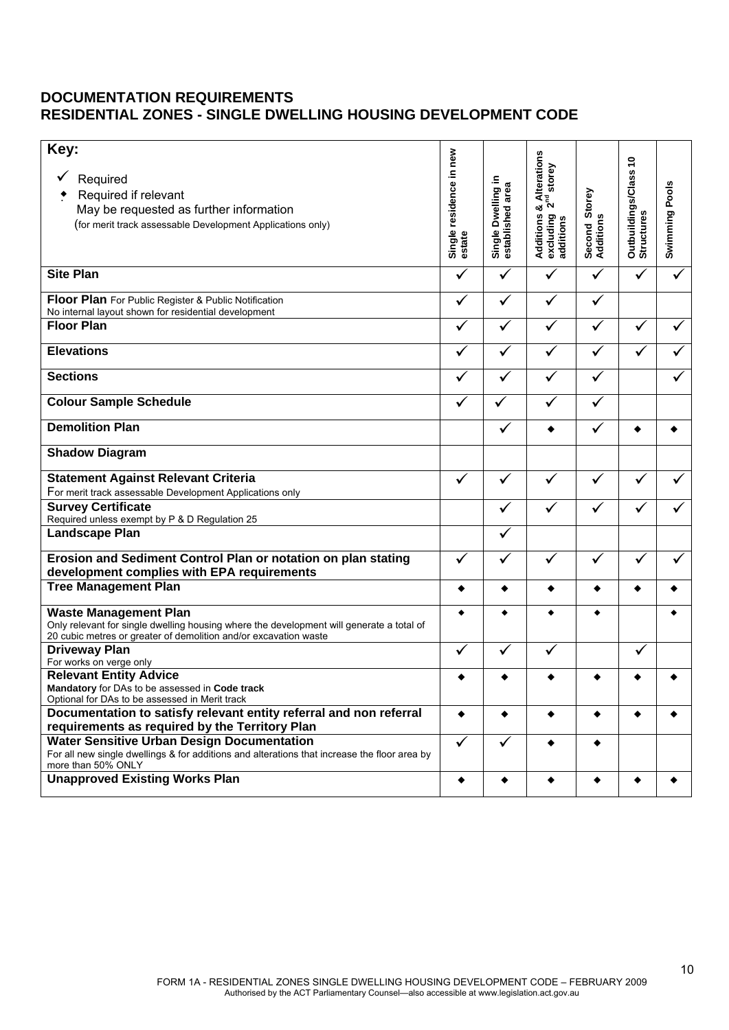# **DOCUMENTATION REQUIREMENTS RESIDENTIAL ZONES - SINGLE DWELLING HOUSING DEVELOPMENT CODE**

| Key:<br>Required<br>Required if relevant<br>May be requested as further information<br>(for merit track assessable Development Applications only)                                            | Single residence in new<br>estate | Single Dwelling in<br>area<br>established | & Alterations<br>$2^{\text{nd}}$ store<br>Additions<br>excluding<br>additions | Storey<br>Second St<br>Additions | Outbuildings/Class 10<br>Structures | <b>Swimming Pools</b> |
|----------------------------------------------------------------------------------------------------------------------------------------------------------------------------------------------|-----------------------------------|-------------------------------------------|-------------------------------------------------------------------------------|----------------------------------|-------------------------------------|-----------------------|
| <b>Site Plan</b>                                                                                                                                                                             | ✓                                 |                                           |                                                                               | $\checkmark$                     | ✓                                   |                       |
| Floor Plan For Public Register & Public Notification<br>No internal layout shown for residential development                                                                                 | ✓                                 | ✓                                         |                                                                               | ✓                                |                                     |                       |
| <b>Floor Plan</b>                                                                                                                                                                            | ✓                                 | ✓                                         | ✓                                                                             | ✓                                |                                     |                       |
| <b>Elevations</b>                                                                                                                                                                            |                                   | ✓                                         |                                                                               | ✓                                |                                     |                       |
| <b>Sections</b>                                                                                                                                                                              | ✓                                 | $\checkmark$                              | ✓                                                                             | ✓                                |                                     |                       |
| <b>Colour Sample Schedule</b>                                                                                                                                                                | ✓                                 | ✓                                         |                                                                               |                                  |                                     |                       |
| <b>Demolition Plan</b>                                                                                                                                                                       |                                   | ✓                                         |                                                                               | ✓                                |                                     |                       |
| <b>Shadow Diagram</b>                                                                                                                                                                        |                                   |                                           |                                                                               |                                  |                                     |                       |
| <b>Statement Against Relevant Criteria</b>                                                                                                                                                   | ✓                                 | ✓                                         | ✓                                                                             | ✓                                |                                     |                       |
| For merit track assessable Development Applications only<br><b>Survey Certificate</b>                                                                                                        |                                   | ✓                                         | ✓                                                                             |                                  |                                     |                       |
| Required unless exempt by P & D Regulation 25<br>Landscape Plan                                                                                                                              |                                   | ✓                                         |                                                                               |                                  |                                     |                       |
| Erosion and Sediment Control Plan or notation on plan stating<br>development complies with EPA requirements                                                                                  | ✓                                 | ✓                                         | ✓                                                                             | ✔                                | √                                   |                       |
| <b>Tree Management Plan</b>                                                                                                                                                                  | ٠                                 | ٠                                         |                                                                               |                                  |                                     |                       |
| <b>Waste Management Plan</b><br>Only relevant for single dwelling housing where the development will generate a total of<br>20 cubic metres or greater of demolition and/or excavation waste | ٠                                 |                                           |                                                                               |                                  |                                     |                       |
| <b>Driveway Plan</b><br>For works on verge only                                                                                                                                              | ✓                                 |                                           | $\checkmark$                                                                  |                                  | ✓                                   |                       |
| <b>Relevant Entity Advice</b><br>Mandatory for DAs to be assessed in Code track<br>Optional for DAs to be assessed in Merit track                                                            |                                   |                                           |                                                                               |                                  |                                     |                       |
| Documentation to satisfy relevant entity referral and non referral<br>requirements as required by the Territory Plan                                                                         | $\bullet$                         | ٠                                         | ٠                                                                             | ٠                                | ٠                                   | ٠                     |
| <b>Water Sensitive Urban Design Documentation</b>                                                                                                                                            | $\checkmark$                      | ✓                                         |                                                                               |                                  |                                     |                       |
| For all new single dwellings & for additions and alterations that increase the floor area by<br>more than 50% ONLY                                                                           |                                   |                                           |                                                                               |                                  |                                     |                       |
| <b>Unapproved Existing Works Plan</b>                                                                                                                                                        | ٠                                 | ٠                                         | ٠                                                                             | ٠                                | ٠                                   | ٠                     |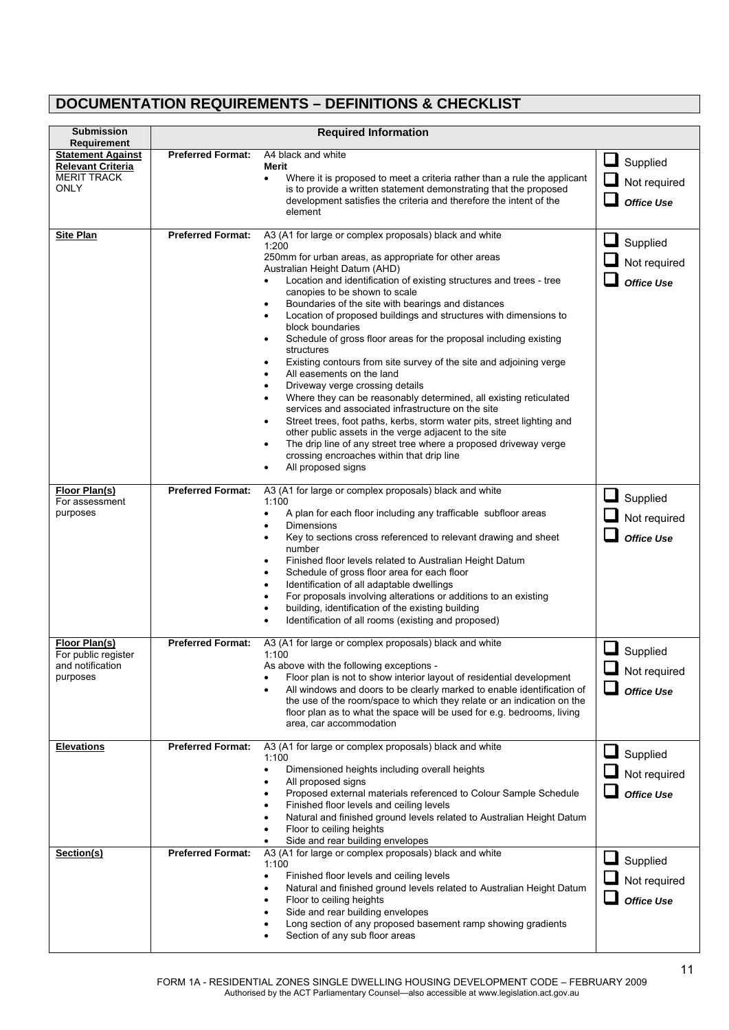# **DOCUMENTATION REQUIREMENTS – DEFINITIONS & CHECKLIST**

| <b>Submission</b><br>Requirement               |                          | <b>Required Information</b>                                                                                                                                |                             |
|------------------------------------------------|--------------------------|------------------------------------------------------------------------------------------------------------------------------------------------------------|-----------------------------|
| <b>Statement Against</b>                       | <b>Preferred Format:</b> | A4 black and white                                                                                                                                         | $\Box$ Supplied             |
| <b>Relevant Criteria</b><br><b>MERIT TRACK</b> |                          | Merit                                                                                                                                                      |                             |
| ONLY                                           |                          | Where it is proposed to meet a criteria rather than a rule the applicant<br>$\bullet$<br>is to provide a written statement demonstrating that the proposed | $\sqcup$<br>Not required    |
|                                                |                          | development satisfies the criteria and therefore the intent of the                                                                                         | $\Box$<br><b>Office Use</b> |
|                                                |                          | element                                                                                                                                                    |                             |
| <b>Site Plan</b>                               | <b>Preferred Format:</b> | A3 (A1 for large or complex proposals) black and white                                                                                                     |                             |
|                                                |                          | 1:200<br>250mm for urban areas, as appropriate for other areas                                                                                             | Supplied                    |
|                                                |                          | Australian Height Datum (AHD)                                                                                                                              | Not required                |
|                                                |                          | Location and identification of existing structures and trees - tree                                                                                        | <b>Office Use</b>           |
|                                                |                          | canopies to be shown to scale                                                                                                                              |                             |
|                                                |                          | Boundaries of the site with bearings and distances<br>$\bullet$<br>Location of proposed buildings and structures with dimensions to<br>$\bullet$           |                             |
|                                                |                          | block boundaries                                                                                                                                           |                             |
|                                                |                          | Schedule of gross floor areas for the proposal including existing<br>$\bullet$<br>structures                                                               |                             |
|                                                |                          | Existing contours from site survey of the site and adjoining verge<br>$\bullet$                                                                            |                             |
|                                                |                          | All easements on the land<br>$\bullet$                                                                                                                     |                             |
|                                                |                          | Driveway verge crossing details<br>$\bullet$<br>Where they can be reasonably determined, all existing reticulated<br>٠                                     |                             |
|                                                |                          | services and associated infrastructure on the site                                                                                                         |                             |
|                                                |                          | Street trees, foot paths, kerbs, storm water pits, street lighting and<br>$\bullet$                                                                        |                             |
|                                                |                          | other public assets in the verge adjacent to the site<br>The drip line of any street tree where a proposed driveway verge                                  |                             |
|                                                |                          | crossing encroaches within that drip line                                                                                                                  |                             |
|                                                |                          | All proposed signs                                                                                                                                         |                             |
| Floor Plan(s)                                  | <b>Preferred Format:</b> | A3 (A1 for large or complex proposals) black and white                                                                                                     |                             |
| For assessment                                 |                          | 1:100                                                                                                                                                      | u<br>Supplied               |
| purposes                                       |                          | A plan for each floor including any trafficable subfloor areas<br>$\bullet$<br>Dimensions                                                                  | Not required                |
|                                                |                          | Key to sections cross referenced to relevant drawing and sheet<br>$\bullet$                                                                                | <b>Office Use</b>           |
|                                                |                          | number                                                                                                                                                     |                             |
|                                                |                          | Finished floor levels related to Australian Height Datum<br>$\bullet$<br>Schedule of gross floor area for each floor<br>٠                                  |                             |
|                                                |                          | Identification of all adaptable dwellings<br>$\bullet$                                                                                                     |                             |
|                                                |                          | For proposals involving alterations or additions to an existing                                                                                            |                             |
|                                                |                          | building, identification of the existing building<br>Identification of all rooms (existing and proposed)                                                   |                             |
|                                                |                          |                                                                                                                                                            |                             |
| Floor Plan(s)<br>For public register           | <b>Preferred Format:</b> | A3 (A1 for large or complex proposals) black and white<br>1:100                                                                                            | $\Box$ Supplied             |
| and notification                               |                          | As above with the following exceptions -                                                                                                                   | $\Box$ Not required         |
| purposes                                       |                          | Floor plan is not to show interior layout of residential development<br>All windows and doors to be clearly marked to enable identification of             |                             |
|                                                |                          | the use of the room/space to which they relate or an indication on the                                                                                     | <b>Office Use</b>           |
|                                                |                          | floor plan as to what the space will be used for e.g. bedrooms, living                                                                                     |                             |
|                                                |                          | area, car accommodation                                                                                                                                    |                             |
| <b>Elevations</b>                              | <b>Preferred Format:</b> | A3 (A1 for large or complex proposals) black and white                                                                                                     | Supplied                    |
|                                                |                          | 1:100<br>Dimensioned heights including overall heights<br>$\bullet$                                                                                        |                             |
|                                                |                          | All proposed signs                                                                                                                                         | Not required                |
|                                                |                          | Proposed external materials referenced to Colour Sample Schedule<br>$\bullet$                                                                              | <b>Office Use</b>           |
|                                                |                          | Finished floor levels and ceiling levels<br>Natural and finished ground levels related to Australian Height Datum                                          |                             |
|                                                |                          | Floor to ceiling heights                                                                                                                                   |                             |
|                                                |                          | Side and rear building envelopes                                                                                                                           |                             |
| Section(s)                                     | <b>Preferred Format:</b> | A3 (A1 for large or complex proposals) black and white<br>1:100                                                                                            | Supplied                    |
|                                                |                          | Finished floor levels and ceiling levels<br>$\bullet$                                                                                                      | Not required                |
|                                                |                          | Natural and finished ground levels related to Australian Height Datum<br>$\bullet$                                                                         |                             |
|                                                |                          | Floor to ceiling heights<br>٠<br>Side and rear building envelopes                                                                                          | <b>Office Use</b>           |
|                                                |                          | Long section of any proposed basement ramp showing gradients                                                                                               |                             |
|                                                |                          | Section of any sub floor areas                                                                                                                             |                             |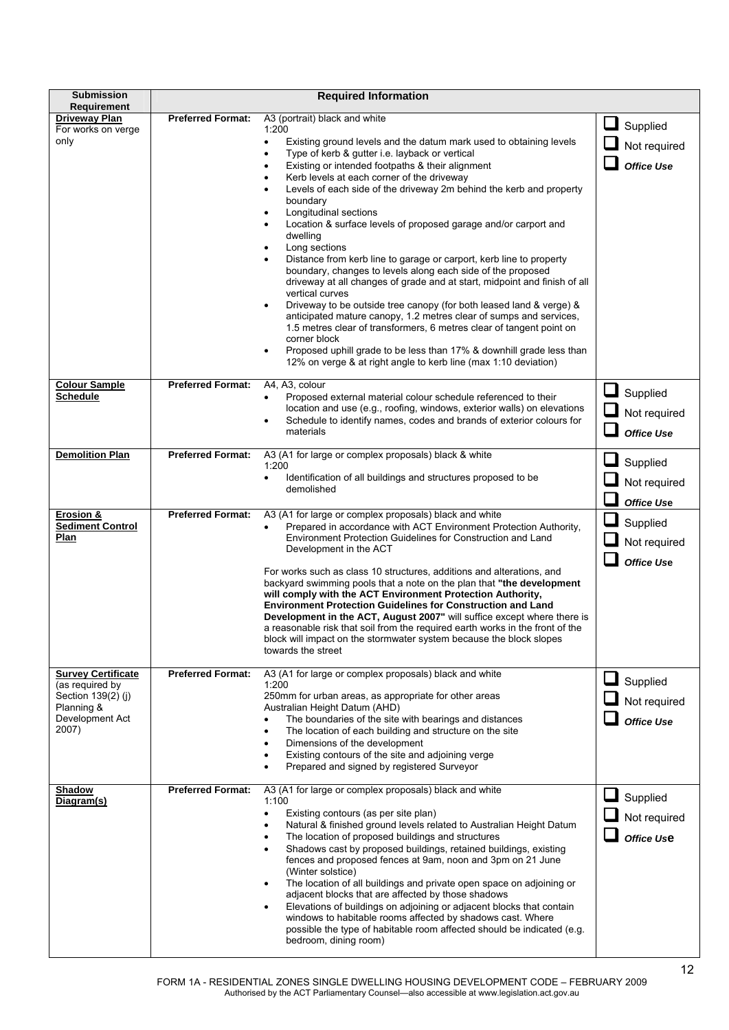| <b>Submission</b><br><b>Requirement</b>                                                                      |                          | <b>Required Information</b>                                                                                                                                                                                                                                                                                                                                                                                                                                                                                                                                                                                                                                                                                                                                                                                                                                                                                                                                                                                                                                                                                                                                           |                                                           |
|--------------------------------------------------------------------------------------------------------------|--------------------------|-----------------------------------------------------------------------------------------------------------------------------------------------------------------------------------------------------------------------------------------------------------------------------------------------------------------------------------------------------------------------------------------------------------------------------------------------------------------------------------------------------------------------------------------------------------------------------------------------------------------------------------------------------------------------------------------------------------------------------------------------------------------------------------------------------------------------------------------------------------------------------------------------------------------------------------------------------------------------------------------------------------------------------------------------------------------------------------------------------------------------------------------------------------------------|-----------------------------------------------------------|
| Driveway Plan<br>For works on verge<br>only                                                                  | <b>Preferred Format:</b> | A3 (portrait) black and white<br>1:200<br>Existing ground levels and the datum mark used to obtaining levels<br>$\bullet$<br>Type of kerb & gutter i.e. layback or vertical<br>٠<br>Existing or intended footpaths & their alignment<br>٠<br>Kerb levels at each corner of the driveway<br>٠<br>Levels of each side of the driveway 2m behind the kerb and property<br>$\bullet$<br>boundary<br>Longitudinal sections<br>Location & surface levels of proposed garage and/or carport and<br>$\bullet$<br>dwelling<br>Long sections<br>Distance from kerb line to garage or carport, kerb line to property<br>boundary, changes to levels along each side of the proposed<br>driveway at all changes of grade and at start, midpoint and finish of all<br>vertical curves<br>Driveway to be outside tree canopy (for both leased land & verge) &<br>$\bullet$<br>anticipated mature canopy, 1.2 metres clear of sumps and services,<br>1.5 metres clear of transformers, 6 metres clear of tangent point on<br>corner block<br>Proposed uphill grade to be less than 17% & downhill grade less than<br>12% on verge & at right angle to kerb line (max 1:10 deviation) | Supplied<br>Not required<br><b>Office Use</b>             |
| <b>Colour Sample</b><br><b>Schedule</b>                                                                      | <b>Preferred Format:</b> | A4, A3, colour<br>Proposed external material colour schedule referenced to their<br>location and use (e.g., roofing, windows, exterior walls) on elevations<br>Schedule to identify names, codes and brands of exterior colours for<br>materials                                                                                                                                                                                                                                                                                                                                                                                                                                                                                                                                                                                                                                                                                                                                                                                                                                                                                                                      | $\sqcup$<br>Supplied<br>Not required<br><b>Office Use</b> |
| <b>Demolition Plan</b>                                                                                       | <b>Preferred Format:</b> | A3 (A1 for large or complex proposals) black & white<br>1:200<br>Identification of all buildings and structures proposed to be<br>$\bullet$<br>demolished                                                                                                                                                                                                                                                                                                                                                                                                                                                                                                                                                                                                                                                                                                                                                                                                                                                                                                                                                                                                             | Supplied<br>Not required<br>Office Use                    |
| Erosion &<br><b>Sediment Control</b><br>Plan                                                                 | <b>Preferred Format:</b> | A3 (A1 for large or complex proposals) black and white<br>Prepared in accordance with ACT Environment Protection Authority,<br>Environment Protection Guidelines for Construction and Land<br>Development in the ACT<br>For works such as class 10 structures, additions and alterations, and<br>backyard swimming pools that a note on the plan that "the development<br>will comply with the ACT Environment Protection Authority,<br><b>Environment Protection Guidelines for Construction and Land</b><br>Development in the ACT, August 2007" will suffice except where there is<br>a reasonable risk that soil from the required earth works in the front of the<br>block will impact on the stormwater system because the block slopes<br>towards the street                                                                                                                                                                                                                                                                                                                                                                                                   | Supplied<br>Not required<br><b>Office Use</b>             |
| <b>Survey Certificate</b><br>(as required by<br>Section 139(2) (j)<br>Planning &<br>Development Act<br>2007) | <b>Preferred Format:</b> | A3 (A1 for large or complex proposals) black and white<br>1:200<br>250mm for urban areas, as appropriate for other areas<br>Australian Height Datum (AHD)<br>The boundaries of the site with bearings and distances<br>The location of each building and structure on the site<br>$\bullet$<br>Dimensions of the development<br>$\bullet$<br>Existing contours of the site and adjoining verge<br>Prepared and signed by registered Surveyor                                                                                                                                                                                                                                                                                                                                                                                                                                                                                                                                                                                                                                                                                                                          | Supplied<br>Not required<br><b>Office Use</b>             |
| Shadow<br>Diagram(s)                                                                                         | <b>Preferred Format:</b> | A3 (A1 for large or complex proposals) black and white<br>1:100<br>Existing contours (as per site plan)<br>$\bullet$<br>Natural & finished ground levels related to Australian Height Datum<br>٠<br>The location of proposed buildings and structures<br>٠<br>Shadows cast by proposed buildings, retained buildings, existing<br>$\bullet$<br>fences and proposed fences at 9am, noon and 3pm on 21 June<br>(Winter solstice)<br>The location of all buildings and private open space on adjoining or<br>adjacent blocks that are affected by those shadows<br>Elevations of buildings on adjoining or adjacent blocks that contain<br>٠<br>windows to habitable rooms affected by shadows cast. Where<br>possible the type of habitable room affected should be indicated (e.g.<br>bedroom, dining room)                                                                                                                                                                                                                                                                                                                                                            | Supplied<br>Not required<br>Office Use                    |